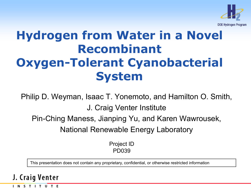

## **Hydrogen from Water in a Novel Recombinant Oxygen-Tolerant Cyanobacterial System**

Philip D. Weyman, Isaac T. Yonemoto, and Hamilton O. Smith, J. Craig Venter Institute

Pin-Ching Maness, Jianping Yu, and Karen Wawrousek,

National Renewable Energy Laboratory

Project ID PD039

This presentation does not contain any proprietary, confidential, or otherwise restricted information

#### J. Craig Venter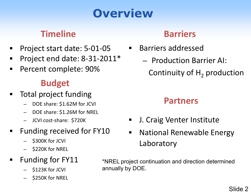# **Overview**

### **Timeline**

- Project start date: 5-01-05
- Project end date: 8-31-2011\*
- **Percent complete: 90%**

### **Budget**

- Total project funding
	- DOE share: \$1.62M for JCVI
	- DOE share: \$1.26M for NREL
	- JCVI cost-share: \$720K
- Funding received for FY10
	- \$300K for JCVI
	- \$220K for NREL

### Funding for FY11

- \$123K for JCVI
- \$250K for NREL

### **Barriers**

- **Barriers addressed** 
	- Production Barrier AI:

Continuity of  $H<sub>2</sub>$  production

### **Partners**

- **J. Craig Venter Institute**
- **Earth Mational Renewable Energy** Laboratory

\*NREL project continuation and direction determined annually by DOE.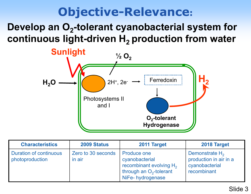## **Objective-Relevance:**

### Develop an O<sub>2</sub>-tolerant cyanobacterial system for continuous light-driven H<sub>2</sub> production from water



| <b>Characteristics</b>                           | 2009 Status                  | 2011 Target                                                                                                                   | 2018 Target                                                                  |
|--------------------------------------------------|------------------------------|-------------------------------------------------------------------------------------------------------------------------------|------------------------------------------------------------------------------|
| <b>Duration of continuous</b><br>photoproduction | Zero to 30 seconds<br>in air | <b>Produce one</b><br>cyanobacterial<br>recombinant evolving H <sub>2</sub><br>through an $O_2$ -tolerant<br>NiFe-hydrogenase | Demonstrate $H_2$<br>production in air in a<br>cyanobacterial<br>recombinant |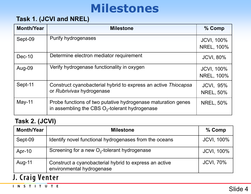## **Milestones**

#### **Task 1. (JCVI and NREL)**

| <b>Month/Year</b> | <b>Milestone</b>                                                                                                  | % Comp                                 |
|-------------------|-------------------------------------------------------------------------------------------------------------------|----------------------------------------|
| Sept-09           | Purify hydrogenases                                                                                               | <b>JCVI, 100%</b><br><b>NREL, 100%</b> |
| $Dec-10$          | Determine electron mediator requirement                                                                           | <b>JCVI, 80%</b>                       |
| Aug-09            | Verify hydrogenase functionality in oxygen                                                                        | <b>JCVI, 100%</b><br><b>NREL, 100%</b> |
| Sept-11           | Construct cyanobacterial hybrid to express an active Thiocapsa<br>or Rubrivivax hydrogenase                       | <b>JCVI, 95%</b><br><b>NREL, 50%</b>   |
| $May-11$          | Probe functions of two putative hydrogenase maturation genes<br>in assembling the CBS $O_2$ -tolerant hydrogenase | <b>NREL, 50%</b>                       |

#### **Task 2. (JCVI)**

| <b>Month/Year</b> | <b>Milestone</b>                                                                    | $%$ Comp          |  |
|-------------------|-------------------------------------------------------------------------------------|-------------------|--|
| Sept-09           | Identify novel functional hydrogenases from the oceans                              | <b>JCVI, 100%</b> |  |
| Apr-10            | Screening for a new $O_2$ -tolerant hydrogenase                                     | <b>JCVI, 100%</b> |  |
| Aug-11            | Construct a cyanobacterial hybrid to express an active<br>environmental hydrogenase | <b>JCVI, 70%</b>  |  |
| J. Craig Venter   |                                                                                     |                   |  |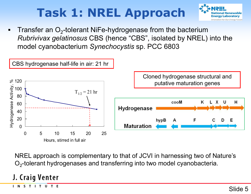# **Task 1: NREL Approach**



Transfer an  $O<sub>2</sub>$ -tolerant NiFe-hydrogenase from the bacterium *Rubrivivax gelatinosus* CBS (hence "CBS", isolated by NREL) into the model cyanobacterium *Synechocystis* sp. PCC 6803



NREL approach is complementary to that of JCVI in harnessing two of Nature's  $O<sub>2</sub>$ -tolerant hydrogenases and transferring into two model cyanobacteria.

#### J. Craig Venter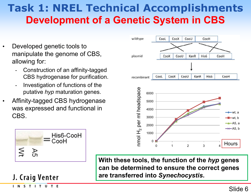### **Task 1: NREL Technical Accomplishments Development of a Genetic System in CBS**

- Developed genetic tools to manipulate the genome of CBS, allowing for:
	- Construction of an affinity-tagged CBS hydrogenase for purification.
	- Investigation of functions of the putative *hyp* maturation genes.
- Affinity-tagged CBS hydrogenase was expressed and functional in CBS.



**With these tools, the function of the** *hyp* **genes** 

**can be determined to ensure the correct genes** 

**are transferred into** *Synechocystis***.**

His6-CooH CooH  $\leq$ Α5

### J. Craig Venter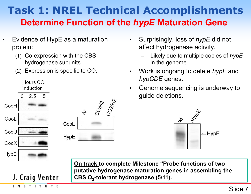### **Task 1: NREL Technical Accomplishments Determine Function of the** *hypE* **Maturation Gene**

- Evidence of HypE as a maturation protein:
	- (1) Co-expression with the CBS hydrogenase subunits.
	- (2) Expression is specific to CO.



- Surprisingly, loss of *hypE* did not affect hydrogenase activity.
	- Likely due to multiple copies of *hypE* in the genome.
- Work is ongoing to delete *hypF* and *hypCDE* genes.
- Genome sequencing is underway to guide deletions.



**On track to complete Milestone "Probe functions of two putative hydrogenase maturation genes in assembling the**  CBS O<sub>2</sub>-tolerant hydrogenase (5/11).

INSTITUTE

J. Craig Venter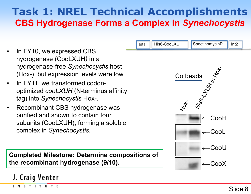### **Task 1: NREL Technical Accomplishments CBS Hydrogenase Forms a Complex in** *Synechocystis*

- In FY10, we expressed CBS hydrogenase (CooLXUH*)* in a hydrogenase-free *Synechocystis* host (Hox-), but expression levels were low.
- In FY11, we transformed codonoptimized *cooLXUH* (N-terminus affinity tag) into *Synechocystis* Hox-.
- Recombinant CBS hydrogenase was purified and shown to contain four subunits (CooLXUH), forming a soluble complex in *Synechocystis*.

**Completed Milestone: Determine compositions of the recombinant hydrogenase (9/10).** 



J. Craig Venter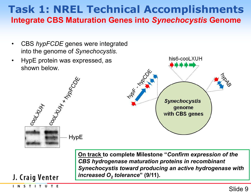### **Task 1: NREL Technical Accomplishments Integrate CBS Maturation Genes into** *Synechocystis* **Genome**

- CBS *hypFCDE* genes were integrated into the genome of *Synechocystis.*
- HypE protein was expressed, as shown below.

ol Hyx Makook

**HypE** 



**On track to complete Milestone "***Confirm expression of the CBS hydrogenase maturation proteins in recombinant Synechocystis toward producing an active hydrogenase with increased O<sub>2</sub> tolerance*" (9/11).

J. Craig Venter

Cool Hotx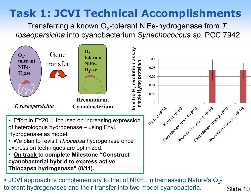Transferring a known O<sub>2</sub>-tolerant NiFe-hydrogenase from T. *roseopersicina* into cyanobacterium *Synechococcus sp.* PCC 7942



**JCVI** approach is complementary to that of NREL in harnessing Nature's  $O_2$ tolerant hydrogenases and their transfer into two model cyanobacteria.

Slide 10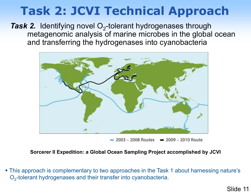# **Task 2: JCVI Technical Approach**

**Task 2.** Identifying novel O<sub>2</sub>-tolerant hydrogenases through metagenomic analysis of marine microbes in the global ocean and transferring the hydrogenases into cyanobacteria



 $= 2003 - 2008$  Routes  $= 2009 - 2010$  Route

**Sorcerer II Expedition: a Global Ocean Sampling Project accomplished by JCVI**

 This approach is complementary to two approaches in the Task 1 about harnessing nature's O<sub>2</sub>-tolerant hydrogenases and their transfer into cyanobacteria.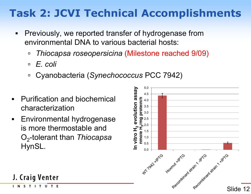- **Previously, we reported transfer of hydrogenase from** environmental DNA to various bacterial hosts:
	- *Thiocapsa roseopersicina* (Milestone reached 9/09)
	- *E. coli*
	- Cyanobacteria (*Synechococcus* PCC 7942)
- **Purification and biochemical** characterization
- **Environmental hydrogenase** is more thermostable and O2-tolerant than *Thiocapsa*  $HynSL.$   $\geq \frac{1}{2}$   $\geq 0.5$





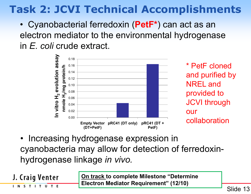• Cyanobacterial ferredoxin (**PetF\***) can act as an electron mediator to the environmental hydrogenase in *E. coli* crude extract.



\* PetF cloned and purified by NREL and provided to JCVI through our collaboration

• Increasing hydrogenase expression in cyanobacteria may allow for detection of ferredoxinhydrogenase linkage *in vivo.*

J. Craig Venter

INSTITUTE

**On track to complete Milestone "Determine Electron Mediator Requirement" (12/10)**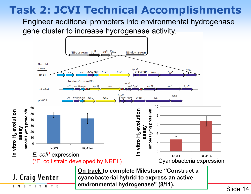Engineer additional promoters into environmental hydrogenase gene cluster to increase hydrogenase activity.

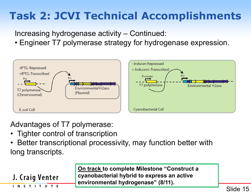Increasing hydrogenase activity – Continued:

• Engineer T7 polymerase strategy for hydrogenase expression.



Advantages of T7 polymerase:

• Tighter control of transcription

J. Craig Venter

INSTITUTE

• Better transcriptional processivity, may function better with long transcripts.

> **On track to complete Milestone "Construct a cyanobacterial hybrid to express an active environmental hydrogenase" (8/11).**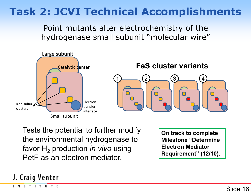Point mutants alter electrochemistry of the hydrogenase small subunit "molecular wire"



Tests the potential to further modify the environmental hydrogenase to favor H<sub>2</sub> production *in vivo* using PetF as an electron mediator.

**On track to complete Milestone "Determine Electron Mediator Requirement" (12/10).**

#### J. Craig Venter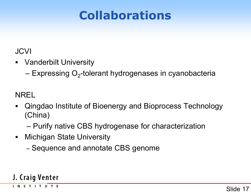# **Collaborations**

#### JCVI

- Vanderbilt University
	- $-$  Expressing O<sub>2</sub>-tolerant hydrogenases in cyanobacteria

NREL

- Qingdao Institute of Bioenergy and Bioprocess Technology (China)
	- Purify native CBS hydrogenase for characterization
- **Michigan State University** 
	- Sequence and annotate CBS genome

#### J. Craig Venter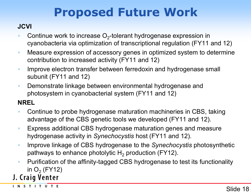# **Proposed Future Work**

#### **JCVI**

- Continue work to increase  $O<sub>2</sub>$ -tolerant hydrogenase expression in cyanobacteria via optimization of transcriptional regulation (FY11 and 12)
- **Measure expression of accessory genes in optimized system to determine** contribution to increased activity (FY11 and 12)
- **IMPROVE ELECT EXAMPLE IS A LIMPT FIGURE 10 FEAM** Improve electron transfer between ferredoxin and hydrogenase small subunit (FY11 and 12)
- **Demonstrate linkage between environmental hydrogenase and** photosystem in cyanobacterial system (FY11 and 12)

#### **NREL**

- Continue to probe hydrogenase maturation machineries in CBS, taking advantage of the CBS genetic tools we developed (FY11 and 12).
- **Express additional CBS hydrogenase maturation genes and measure** hydrogenase activity in *Synechocystis* host (FY11 and 12).
- Improve linkage of CBS hydrogenase to the *Synechocystis* photosynthetic pathways to enhance photolytic  $H_2$  production (FY12).
- **Purification of the affinity-tagged CBS hydrogenase to test its functionality**

# in O $_2$  (FY12)<br>**J. Craig Venter**